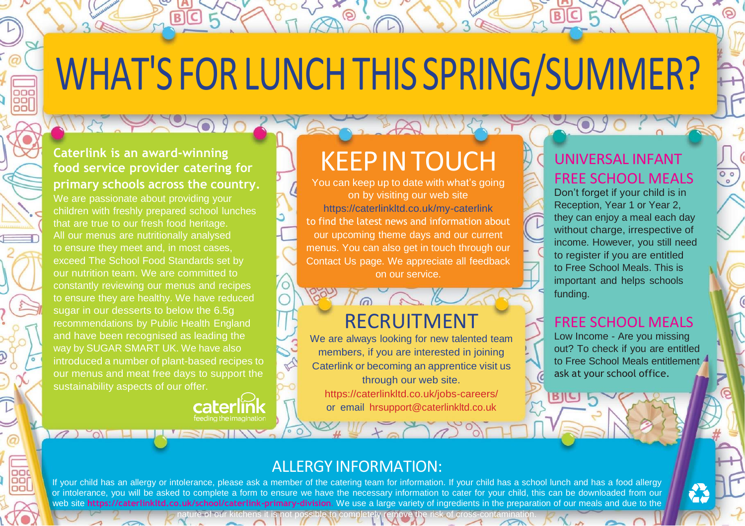# WHAT'S FOR LUNCH THIS SPRING/SUMMER?

#### **Caterlink is an award-winning food service provider catering for primary schools across the country.**

 $T13337200000$ 

We are passionate about providing your children with freshly prepared school lunches that are true to our fresh food heritage. All our menus are nutritionally analysed to ensure they meet and, in most cases, exceed The School Food Standards set by our nutrition team. We are committed to constantly reviewing our menus and recipes to ensure they are healthy. We have reduced sugar in our desserts to below the 6.5g recommendations by Public Health England and have been recognised as leading the way by SUGAR SMART UK. We have also introduced a number of plant-based recipes to our menus and meat free days to support the sustainability aspects of our offer.

12 OF HUISAI

## KEEPINTOUCH

You can keep up to date with what's going on by visiting our web site https://caterlinkltd.co.uk/my-caterlink to find the latest news and information about our upcoming theme days and our current menus. You can also get in touch through our Contact Us page. We appreciate all feedback on our service.

### RECRUITMENT

ook No and

We are always looking for new talented team members, if you are interested in joining Caterlink or becoming an apprentice visit us through our web site. https://caterlinkltd.co.uk/jobs-careers/

or email [hrsupport@caterlinkltd.co.uk](mailto:hrsupport@caterlinkltd.co.uk)

#### UNIVERSAL INFANT FREE SCHOOL MEALS

Don't forget if your child is in Reception, Year 1 or Year 2, they can enjoy a meal each day without charge, irrespective of income. However, you still need to register if you are entitled to Free School Meals. This is important and helps schools funding.

#### FREE SCHOOL MEALS

Low Income - Are you missing out? To check if you are entitled to Free School Meals entitlement ask at your school office.

#### ALLERGY INFORMATION:

If your child has an allergy or intolerance, please ask a member of the catering team for information. If your child has a school lunch and has a food allergy or intolerance, you will be asked to complete a form to ensure we have the necessary information to cater for your child, this can be downloaded from our web site **https://caterlinkltd.co.uk/school/caterlink-primary-division**. We use a large variety of ingredients in the preparation of our meals and due to the nature of our kitchens it is not possible to completely remove the risk of cross-contamination.